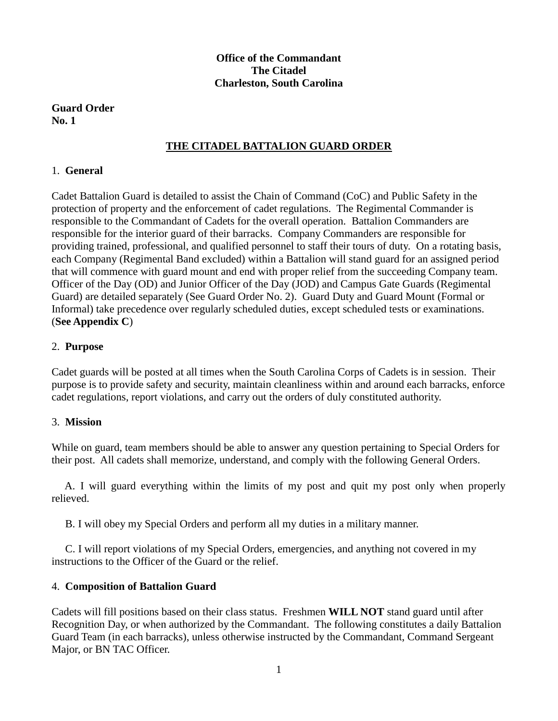## **Office of the Commandant The Citadel Charleston, South Carolina**

### **Guard Order No. 1**

# **THE CITADEL BATTALION GUARD ORDER**

## 1. **General**

Cadet Battalion Guard is detailed to assist the Chain of Command (CoC) and Public Safety in the protection of property and the enforcement of cadet regulations. The Regimental Commander is responsible to the Commandant of Cadets for the overall operation. Battalion Commanders are responsible for the interior guard of their barracks. Company Commanders are responsible for providing trained, professional, and qualified personnel to staff their tours of duty. On a rotating basis, each Company (Regimental Band excluded) within a Battalion will stand guard for an assigned period that will commence with guard mount and end with proper relief from the succeeding Company team. Officer of the Day (OD) and Junior Officer of the Day (JOD) and Campus Gate Guards (Regimental Guard) are detailed separately (See Guard Order No. 2). Guard Duty and Guard Mount (Formal or Informal) take precedence over regularly scheduled duties, except scheduled tests or examinations. (**See Appendix C**)

### 2. **Purpose**

Cadet guards will be posted at all times when the South Carolina Corps of Cadets is in session. Their purpose is to provide safety and security, maintain cleanliness within and around each barracks, enforce cadet regulations, report violations, and carry out the orders of duly constituted authority.

## 3. **Mission**

While on guard, team members should be able to answer any question pertaining to Special Orders for their post. All cadets shall memorize, understand, and comply with the following General Orders.

 A. I will guard everything within the limits of my post and quit my post only when properly relieved.

B. I will obey my Special Orders and perform all my duties in a military manner.

 C. I will report violations of my Special Orders, emergencies, and anything not covered in my instructions to the Officer of the Guard or the relief.

## 4. **Composition of Battalion Guard**

Cadets will fill positions based on their class status. Freshmen **WILL NOT** stand guard until after Recognition Day, or when authorized by the Commandant. The following constitutes a daily Battalion Guard Team (in each barracks), unless otherwise instructed by the Commandant, Command Sergeant Major, or BN TAC Officer.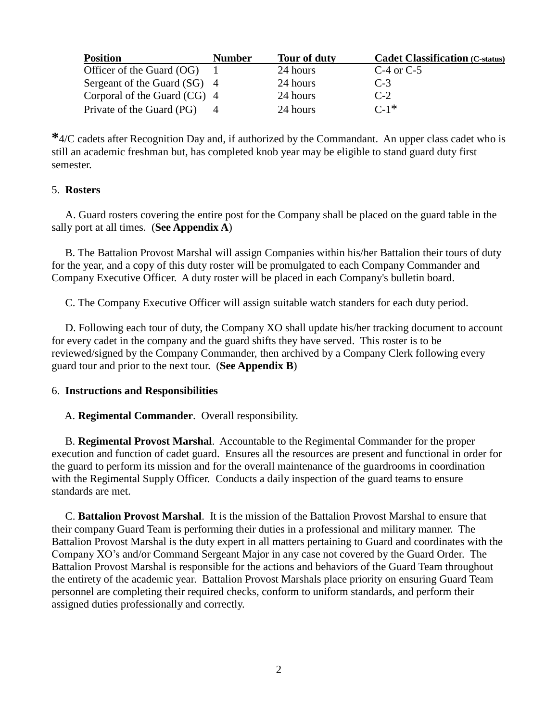| <b>Position</b>                | <b>Number</b> | Tour of duty | <b>Cadet Classification (C-status)</b> |
|--------------------------------|---------------|--------------|----------------------------------------|
| Officer of the Guard (OG)      |               | 24 hours     | C-4 or C-5                             |
| Sergeant of the Guard (SG) 4   |               | 24 hours     | $C-3$                                  |
| Corporal of the Guard $(CG)$ 4 |               | 24 hours     | $C-2$                                  |
| Private of the Guard (PG)      |               | 24 hours     | $C-1*$                                 |

**\***4/C cadets after Recognition Day and, if authorized by the Commandant. An upper class cadet who is still an academic freshman but, has completed knob year may be eligible to stand guard duty first semester.

### 5. **Rosters**

A. Guard rosters covering the entire post for the Company shall be placed on the guard table in the sally port at all times. (**See Appendix A**)

B. The Battalion Provost Marshal will assign Companies within his/her Battalion their tours of duty for the year, and a copy of this duty roster will be promulgated to each Company Commander and Company Executive Officer. A duty roster will be placed in each Company's bulletin board.

C. The Company Executive Officer will assign suitable watch standers for each duty period.

 D. Following each tour of duty, the Company XO shall update his/her tracking document to account for every cadet in the company and the guard shifts they have served. This roster is to be reviewed/signed by the Company Commander, then archived by a Company Clerk following every guard tour and prior to the next tour. (**See Appendix B**)

#### 6. **Instructions and Responsibilities**

#### A. **Regimental Commander**. Overall responsibility.

 B. **Regimental Provost Marshal**. Accountable to the Regimental Commander for the proper execution and function of cadet guard. Ensures all the resources are present and functional in order for the guard to perform its mission and for the overall maintenance of the guardrooms in coordination with the Regimental Supply Officer. Conducts a daily inspection of the guard teams to ensure standards are met.

 C. **Battalion Provost Marshal**. It is the mission of the Battalion Provost Marshal to ensure that their company Guard Team is performing their duties in a professional and military manner. The Battalion Provost Marshal is the duty expert in all matters pertaining to Guard and coordinates with the Company XO's and/or Command Sergeant Major in any case not covered by the Guard Order. The Battalion Provost Marshal is responsible for the actions and behaviors of the Guard Team throughout the entirety of the academic year. Battalion Provost Marshals place priority on ensuring Guard Team personnel are completing their required checks, conform to uniform standards, and perform their assigned duties professionally and correctly.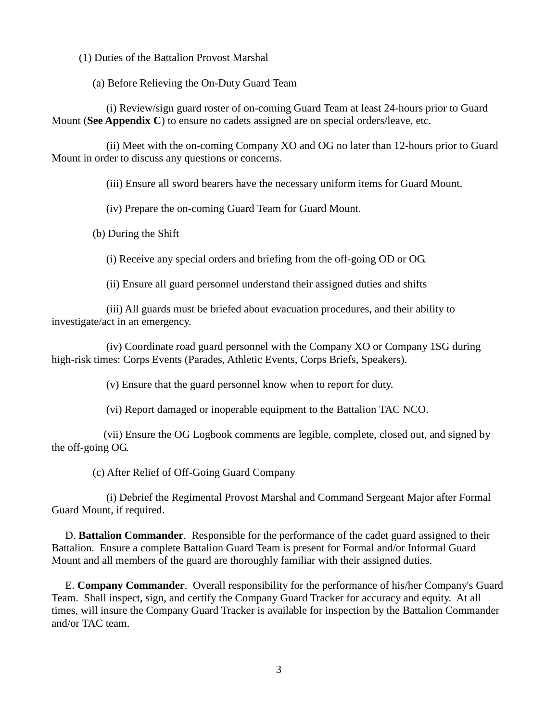(1) Duties of the Battalion Provost Marshal

(a) Before Relieving the On-Duty Guard Team

 (i) Review/sign guard roster of on-coming Guard Team at least 24-hours prior to Guard Mount (**See Appendix C**) to ensure no cadets assigned are on special orders/leave, etc.

 (ii) Meet with the on-coming Company XO and OG no later than 12-hours prior to Guard Mount in order to discuss any questions or concerns.

(iii) Ensure all sword bearers have the necessary uniform items for Guard Mount.

(iv) Prepare the on-coming Guard Team for Guard Mount.

(b) During the Shift

(i) Receive any special orders and briefing from the off-going OD or OG.

(ii) Ensure all guard personnel understand their assigned duties and shifts

 (iii) All guards must be briefed about evacuation procedures, and their ability to investigate/act in an emergency.

 (iv) Coordinate road guard personnel with the Company XO or Company 1SG during high-risk times: Corps Events (Parades, Athletic Events, Corps Briefs, Speakers).

(v) Ensure that the guard personnel know when to report for duty.

(vi) Report damaged or inoperable equipment to the Battalion TAC NCO.

 (vii) Ensure the OG Logbook comments are legible, complete, closed out, and signed by the off-going OG.

(c) After Relief of Off-Going Guard Company

 (i) Debrief the Regimental Provost Marshal and Command Sergeant Major after Formal Guard Mount, if required.

 D. **Battalion Commander**. Responsible for the performance of the cadet guard assigned to their Battalion. Ensure a complete Battalion Guard Team is present for Formal and/or Informal Guard Mount and all members of the guard are thoroughly familiar with their assigned duties.

 E. **Company Commander**. Overall responsibility for the performance of his/her Company's Guard Team. Shall inspect, sign, and certify the Company Guard Tracker for accuracy and equity. At all times, will insure the Company Guard Tracker is available for inspection by the Battalion Commander and/or TAC team.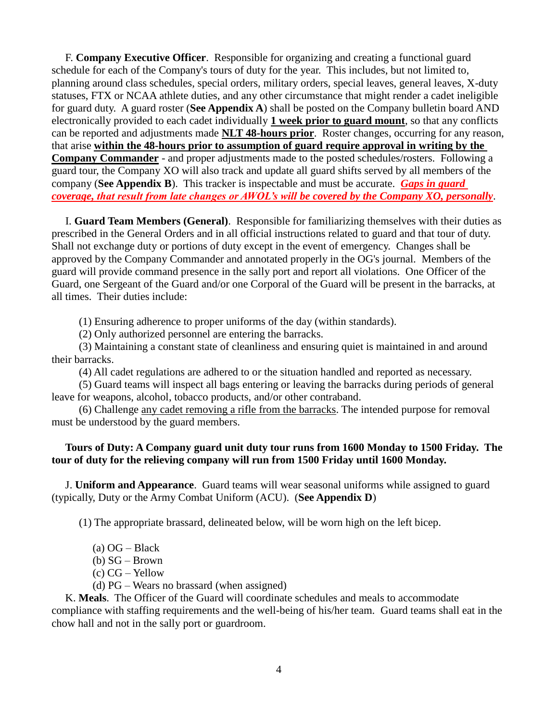F. **Company Executive Officer**. Responsible for organizing and creating a functional guard schedule for each of the Company's tours of duty for the year. This includes, but not limited to, planning around class schedules, special orders, military orders, special leaves, general leaves, X-duty statuses, FTX or NCAA athlete duties, and any other circumstance that might render a cadet ineligible for guard duty. A guard roster (**See Appendix A**) shall be posted on the Company bulletin board AND electronically provided to each cadet individually **1 week prior to guard mount**, so that any conflicts can be reported and adjustments made **NLT 48-hours prior**. Roster changes, occurring for any reason, that arise **within the 48-hours prior to assumption of guard require approval in writing by the Company Commander** - and proper adjustments made to the posted schedules/rosters. Following a guard tour, the Company XO will also track and update all guard shifts served by all members of the company (**See Appendix B**). This tracker is inspectable and must be accurate. *Gaps in guard coverage, that result from late changes or AWOL's will be covered by the Company XO, personally*.

 I. **Guard Team Members (General)**. Responsible for familiarizing themselves with their duties as prescribed in the General Orders and in all official instructions related to guard and that tour of duty. Shall not exchange duty or portions of duty except in the event of emergency. Changes shall be approved by the Company Commander and annotated properly in the OG's journal. Members of the guard will provide command presence in the sally port and report all violations. One Officer of the Guard, one Sergeant of the Guard and/or one Corporal of the Guard will be present in the barracks, at all times. Their duties include:

(1) Ensuring adherence to proper uniforms of the day (within standards).

(2) Only authorized personnel are entering the barracks.

 (3) Maintaining a constant state of cleanliness and ensuring quiet is maintained in and around their barracks.

(4) All cadet regulations are adhered to or the situation handled and reported as necessary.

 (5) Guard teams will inspect all bags entering or leaving the barracks during periods of general leave for weapons, alcohol, tobacco products, and/or other contraband.

 (6) Challenge any cadet removing a rifle from the barracks. The intended purpose for removal must be understood by the guard members.

#### **Tours of Duty: A Company guard unit duty tour runs from 1600 Monday to 1500 Friday. The tour of duty for the relieving company will run from 1500 Friday until 1600 Monday.**

 J. **Uniform and Appearance**. Guard teams will wear seasonal uniforms while assigned to guard (typically, Duty or the Army Combat Uniform (ACU). (**See Appendix D**)

(1) The appropriate brassard, delineated below, will be worn high on the left bicep.

- $(a)$  OG Black
- (b) SG Brown
- (c) CG Yellow

(d) PG – Wears no brassard (when assigned)

K. **Meals**. The Officer of the Guard will coordinate schedules and meals to accommodate compliance with staffing requirements and the well-being of his/her team. Guard teams shall eat in the chow hall and not in the sally port or guardroom.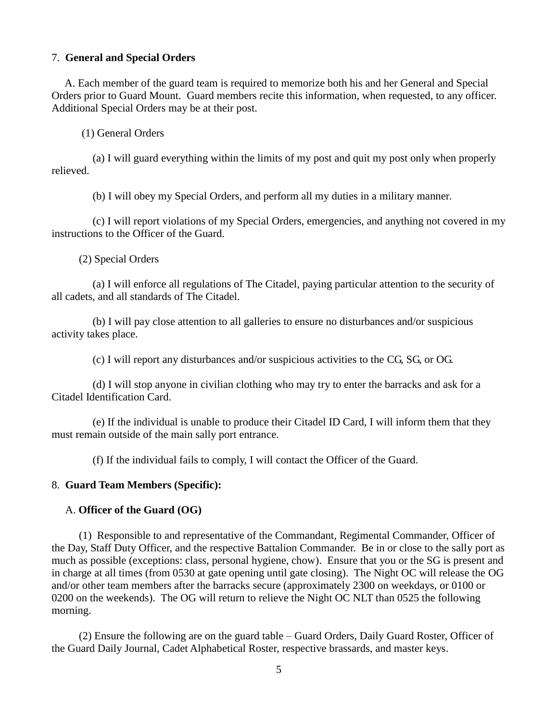#### 7. **General and Special Orders**

 A. Each member of the guard team is required to memorize both his and her General and Special Orders prior to Guard Mount. Guard members recite this information, when requested, to any officer. Additional Special Orders may be at their post.

(1) General Orders

 (a) I will guard everything within the limits of my post and quit my post only when properly relieved.

(b) I will obey my Special Orders, and perform all my duties in a military manner.

 (c) I will report violations of my Special Orders, emergencies, and anything not covered in my instructions to the Officer of the Guard.

(2) Special Orders

 (a) I will enforce all regulations of The Citadel, paying particular attention to the security of all cadets, and all standards of The Citadel.

 (b) I will pay close attention to all galleries to ensure no disturbances and/or suspicious activity takes place.

(c) I will report any disturbances and/or suspicious activities to the CG, SG, or OG.

 (d) I will stop anyone in civilian clothing who may try to enter the barracks and ask for a Citadel Identification Card.

 (e) If the individual is unable to produce their Citadel ID Card, I will inform them that they must remain outside of the main sally port entrance.

(f) If the individual fails to comply, I will contact the Officer of the Guard.

#### 8. **Guard Team Members (Specific):**

#### A. **Officer of the Guard (OG)**

 (1) Responsible to and representative of the Commandant, Regimental Commander, Officer of the Day, Staff Duty Officer, and the respective Battalion Commander. Be in or close to the sally port as much as possible (exceptions: class, personal hygiene, chow). Ensure that you or the SG is present and in charge at all times (from 0530 at gate opening until gate closing). The Night OC will release the OG and/or other team members after the barracks secure (approximately 2300 on weekdays, or 0100 or 0200 on the weekends). The OG will return to relieve the Night OC NLT than 0525 the following morning.

 (2) Ensure the following are on the guard table – Guard Orders, Daily Guard Roster, Officer of the Guard Daily Journal, Cadet Alphabetical Roster, respective brassards, and master keys.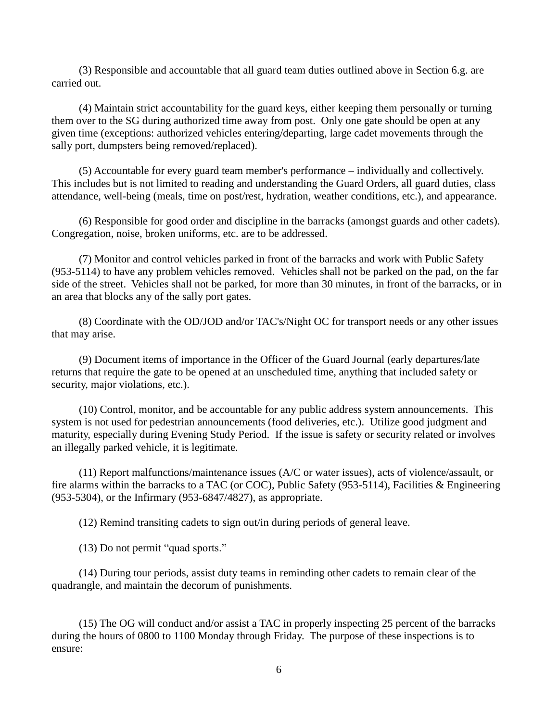(3) Responsible and accountable that all guard team duties outlined above in Section 6.g. are carried out.

 (4) Maintain strict accountability for the guard keys, either keeping them personally or turning them over to the SG during authorized time away from post. Only one gate should be open at any given time (exceptions: authorized vehicles entering/departing, large cadet movements through the sally port, dumpsters being removed/replaced).

 (5) Accountable for every guard team member's performance – individually and collectively. This includes but is not limited to reading and understanding the Guard Orders, all guard duties, class attendance, well-being (meals, time on post/rest, hydration, weather conditions, etc.), and appearance.

 (6) Responsible for good order and discipline in the barracks (amongst guards and other cadets). Congregation, noise, broken uniforms, etc. are to be addressed.

 (7) Monitor and control vehicles parked in front of the barracks and work with Public Safety (953-5114) to have any problem vehicles removed. Vehicles shall not be parked on the pad, on the far side of the street. Vehicles shall not be parked, for more than 30 minutes, in front of the barracks, or in an area that blocks any of the sally port gates.

 (8) Coordinate with the OD/JOD and/or TAC's/Night OC for transport needs or any other issues that may arise.

 (9) Document items of importance in the Officer of the Guard Journal (early departures/late returns that require the gate to be opened at an unscheduled time, anything that included safety or security, major violations, etc.).

 (10) Control, monitor, and be accountable for any public address system announcements. This system is not used for pedestrian announcements (food deliveries, etc.). Utilize good judgment and maturity, especially during Evening Study Period. If the issue is safety or security related or involves an illegally parked vehicle, it is legitimate.

 (11) Report malfunctions/maintenance issues (A/C or water issues), acts of violence/assault, or fire alarms within the barracks to a TAC (or COC), Public Safety (953-5114), Facilities & Engineering (953-5304), or the Infirmary (953-6847/4827), as appropriate.

(12) Remind transiting cadets to sign out/in during periods of general leave.

(13) Do not permit "quad sports."

 (14) During tour periods, assist duty teams in reminding other cadets to remain clear of the quadrangle, and maintain the decorum of punishments.

 (15) The OG will conduct and/or assist a TAC in properly inspecting 25 percent of the barracks during the hours of 0800 to 1100 Monday through Friday. The purpose of these inspections is to ensure: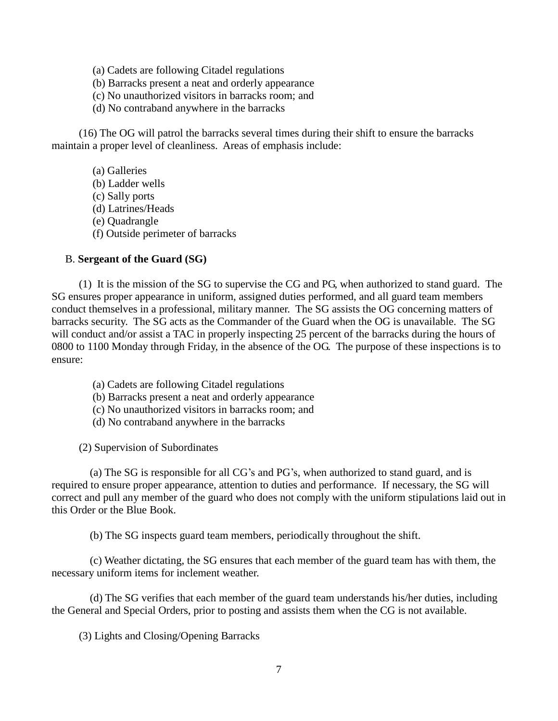- (a) Cadets are following Citadel regulations
- (b) Barracks present a neat and orderly appearance
- (c) No unauthorized visitors in barracks room; and
- (d) No contraband anywhere in the barracks

 (16) The OG will patrol the barracks several times during their shift to ensure the barracks maintain a proper level of cleanliness. Areas of emphasis include:

- (a) Galleries
- (b) Ladder wells
- (c) Sally ports
- (d) Latrines/Heads
- (e) Quadrangle
- (f) Outside perimeter of barracks

#### B. **Sergeant of the Guard (SG)**

 (1) It is the mission of the SG to supervise the CG and PG, when authorized to stand guard. The SG ensures proper appearance in uniform, assigned duties performed, and all guard team members conduct themselves in a professional, military manner. The SG assists the OG concerning matters of barracks security. The SG acts as the Commander of the Guard when the OG is unavailable. The SG will conduct and/or assist a TAC in properly inspecting 25 percent of the barracks during the hours of 0800 to 1100 Monday through Friday, in the absence of the OG. The purpose of these inspections is to ensure:

- (a) Cadets are following Citadel regulations
- (b) Barracks present a neat and orderly appearance
- (c) No unauthorized visitors in barracks room; and
- (d) No contraband anywhere in the barracks

(2) Supervision of Subordinates

 (a) The SG is responsible for all CG's and PG's, when authorized to stand guard, and is required to ensure proper appearance, attention to duties and performance. If necessary, the SG will correct and pull any member of the guard who does not comply with the uniform stipulations laid out in this Order or the Blue Book.

(b) The SG inspects guard team members, periodically throughout the shift.

 (c) Weather dictating, the SG ensures that each member of the guard team has with them, the necessary uniform items for inclement weather.

 (d) The SG verifies that each member of the guard team understands his/her duties, including the General and Special Orders, prior to posting and assists them when the CG is not available.

(3) Lights and Closing/Opening Barracks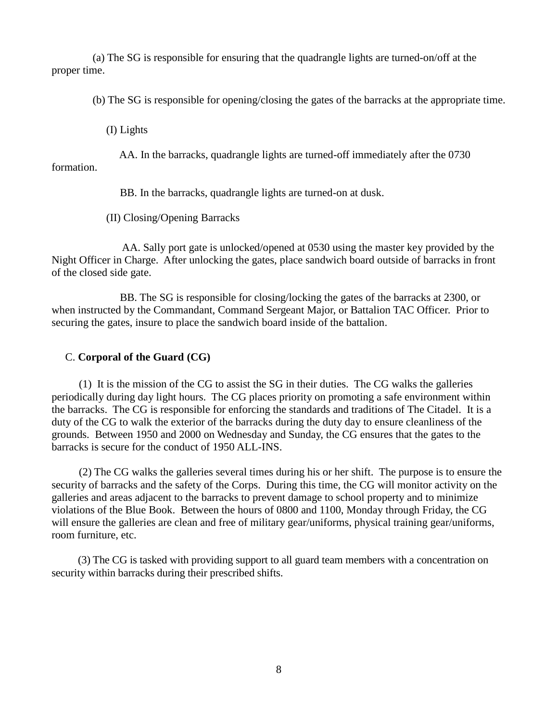(a) The SG is responsible for ensuring that the quadrangle lights are turned-on/off at the proper time.

(b) The SG is responsible for opening/closing the gates of the barracks at the appropriate time.

(I) Lights

 AA. In the barracks, quadrangle lights are turned-off immediately after the 0730 formation.

BB. In the barracks, quadrangle lights are turned-on at dusk.

(II) Closing/Opening Barracks

 AA. Sally port gate is unlocked/opened at 0530 using the master key provided by the Night Officer in Charge. After unlocking the gates, place sandwich board outside of barracks in front of the closed side gate.

 BB. The SG is responsible for closing/locking the gates of the barracks at 2300, or when instructed by the Commandant, Command Sergeant Major, or Battalion TAC Officer. Prior to securing the gates, insure to place the sandwich board inside of the battalion.

#### C. **Corporal of the Guard (CG)**

 (1) It is the mission of the CG to assist the SG in their duties. The CG walks the galleries periodically during day light hours. The CG places priority on promoting a safe environment within the barracks. The CG is responsible for enforcing the standards and traditions of The Citadel. It is a duty of the CG to walk the exterior of the barracks during the duty day to ensure cleanliness of the grounds. Between 1950 and 2000 on Wednesday and Sunday, the CG ensures that the gates to the barracks is secure for the conduct of 1950 ALL-INS.

 (2) The CG walks the galleries several times during his or her shift. The purpose is to ensure the security of barracks and the safety of the Corps. During this time, the CG will monitor activity on the galleries and areas adjacent to the barracks to prevent damage to school property and to minimize violations of the Blue Book. Between the hours of 0800 and 1100, Monday through Friday, the CG will ensure the galleries are clean and free of military gear/uniforms, physical training gear/uniforms, room furniture, etc.

 (3) The CG is tasked with providing support to all guard team members with a concentration on security within barracks during their prescribed shifts.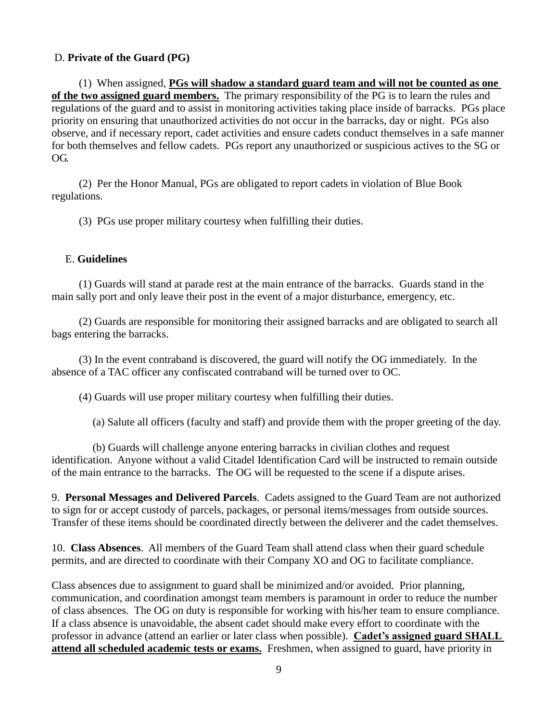### D. **Private of the Guard (PG)**

 (1) When assigned, **PGs will shadow a standard guard team and will not be counted as one of the two assigned guard members.** The primary responsibility of the PG is to learn the rules and regulations of the guard and to assist in monitoring activities taking place inside of barracks. PGs place priority on ensuring that unauthorized activities do not occur in the barracks, day or night. PGs also observe, and if necessary report, cadet activities and ensure cadets conduct themselves in a safe manner for both themselves and fellow cadets. PGs report any unauthorized or suspicious actives to the SG or OG.

 (2) Per the Honor Manual, PGs are obligated to report cadets in violation of Blue Book regulations.

(3) PGs use proper military courtesy when fulfilling their duties.

#### E. **Guidelines**

 (1) Guards will stand at parade rest at the main entrance of the barracks. Guards stand in the main sally port and only leave their post in the event of a major disturbance, emergency, etc.

 (2) Guards are responsible for monitoring their assigned barracks and are obligated to search all bags entering the barracks.

 (3) In the event contraband is discovered, the guard will notify the OG immediately. In the absence of a TAC officer any confiscated contraband will be turned over to OC.

(4) Guards will use proper military courtesy when fulfilling their duties.

(a) Salute all officers (faculty and staff) and provide them with the proper greeting of the day.

 (b) Guards will challenge anyone entering barracks in civilian clothes and request identification. Anyone without a valid Citadel Identification Card will be instructed to remain outside of the main entrance to the barracks. The OG will be requested to the scene if a dispute arises.

9. **Personal Messages and Delivered Parcels**.Cadets assigned to the Guard Team are not authorized to sign for or accept custody of parcels, packages, or personal items/messages from outside sources. Transfer of these items should be coordinated directly between the deliverer and the cadet themselves.

10. **Class Absences**. All members of the Guard Team shall attend class when their guard schedule permits, and are directed to coordinate with their Company XO and OG to facilitate compliance.

Class absences due to assignment to guard shall be minimized and/or avoided. Prior planning, communication, and coordination amongst team members is paramount in order to reduce the number of class absences. The OG on duty is responsible for working with his/her team to ensure compliance. If a class absence is unavoidable, the absent cadet should make every effort to coordinate with the professor in advance (attend an earlier or later class when possible). **Cadet's assigned guard SHALL attend all scheduled academic tests or exams.** Freshmen, when assigned to guard, have priority in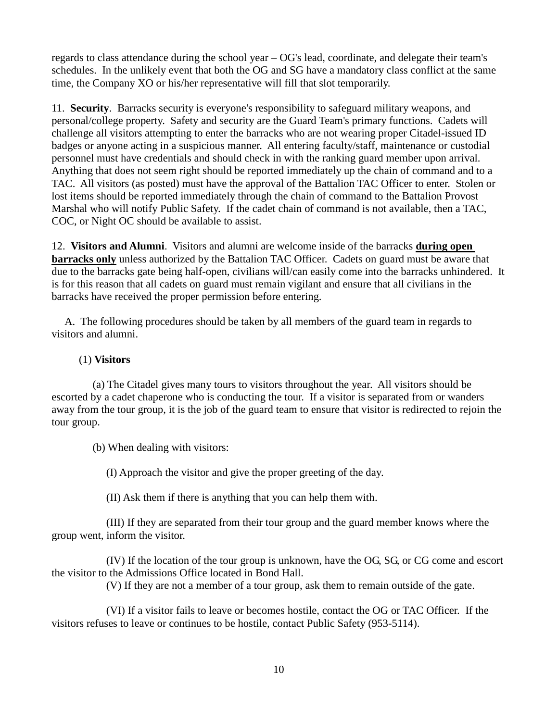regards to class attendance during the school year – OG's lead, coordinate, and delegate their team's schedules. In the unlikely event that both the OG and SG have a mandatory class conflict at the same time, the Company XO or his/her representative will fill that slot temporarily.

11. **Security**. Barracks security is everyone's responsibility to safeguard military weapons, and personal/college property. Safety and security are the Guard Team's primary functions. Cadets will challenge all visitors attempting to enter the barracks who are not wearing proper Citadel-issued ID badges or anyone acting in a suspicious manner. All entering faculty/staff, maintenance or custodial personnel must have credentials and should check in with the ranking guard member upon arrival. Anything that does not seem right should be reported immediately up the chain of command and to a TAC. All visitors (as posted) must have the approval of the Battalion TAC Officer to enter. Stolen or lost items should be reported immediately through the chain of command to the Battalion Provost Marshal who will notify Public Safety. If the cadet chain of command is not available, then a TAC, COC, or Night OC should be available to assist.

12. **Visitors and Alumni**. Visitors and alumni are welcome inside of the barracks **during open barracks only** unless authorized by the Battalion TAC Officer. Cadets on guard must be aware that due to the barracks gate being half-open, civilians will/can easily come into the barracks unhindered. It is for this reason that all cadets on guard must remain vigilant and ensure that all civilians in the barracks have received the proper permission before entering.

 A. The following procedures should be taken by all members of the guard team in regards to visitors and alumni.

#### (1) **Visitors**

 (a) The Citadel gives many tours to visitors throughout the year. All visitors should be escorted by a cadet chaperone who is conducting the tour. If a visitor is separated from or wanders away from the tour group, it is the job of the guard team to ensure that visitor is redirected to rejoin the tour group.

(b) When dealing with visitors:

(I) Approach the visitor and give the proper greeting of the day.

(II) Ask them if there is anything that you can help them with.

 (III) If they are separated from their tour group and the guard member knows where the group went, inform the visitor.

 (IV) If the location of the tour group is unknown, have the OG, SG, or CG come and escort the visitor to the Admissions Office located in Bond Hall.

(V) If they are not a member of a tour group, ask them to remain outside of the gate.

 (VI) If a visitor fails to leave or becomes hostile, contact the OG or TAC Officer. If the visitors refuses to leave or continues to be hostile, contact Public Safety (953-5114).